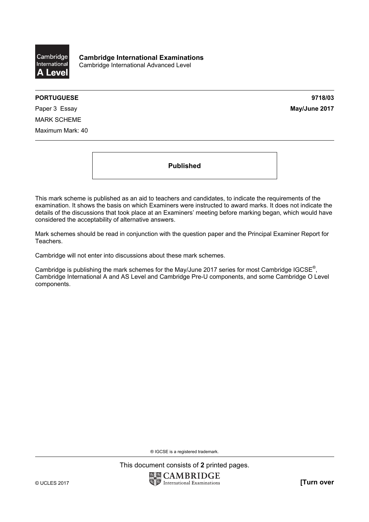

**Cambridge International Examinations**  Cambridge International Advanced Level

## **PORTUGUESE 9718/03**

Paper 3 Essay **May/June 2017** MARK SCHEME Maximum Mark: 40

**Published** 

This mark scheme is published as an aid to teachers and candidates, to indicate the requirements of the examination. It shows the basis on which Examiners were instructed to award marks. It does not indicate the details of the discussions that took place at an Examiners' meeting before marking began, which would have considered the acceptability of alternative answers.

Mark schemes should be read in conjunction with the question paper and the Principal Examiner Report for Teachers.

Cambridge will not enter into discussions about these mark schemes.

Cambridge is publishing the mark schemes for the May/June 2017 series for most Cambridge IGCSE<sup>®</sup>, Cambridge International A and AS Level and Cambridge Pre-U components, and some Cambridge O Level components.

® IGCSE is a registered trademark.